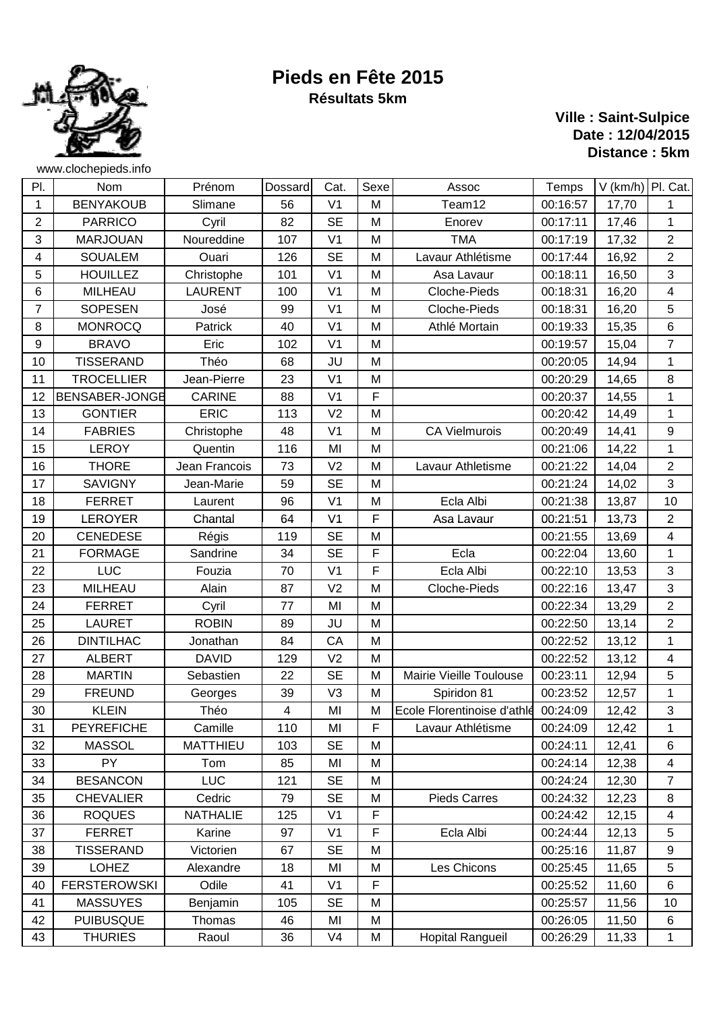

## **Pieds en Fête 2015 Résultats 5km**

## **Ville : Saint-Sulpice Date : 12/04/2015 Distance : 5km**

| PI.            | Nom                 | Prénom          | <b>Dossard</b>          | Cat.           | Sexe | Assoc                       | Temps    | $V$ (km/h) Pl. Cat. |                           |
|----------------|---------------------|-----------------|-------------------------|----------------|------|-----------------------------|----------|---------------------|---------------------------|
| 1              | <b>BENYAKOUB</b>    | Slimane         | 56                      | V <sub>1</sub> | M    | Team12                      | 00:16:57 | 17,70               | 1                         |
| $\overline{2}$ | <b>PARRICO</b>      | Cyril           | 82                      | <b>SE</b>      | M    | Enorev                      | 00:17:11 | 17,46               | 1                         |
| 3              | <b>MARJOUAN</b>     | Noureddine      | 107                     | V <sub>1</sub> | M    | <b>TMA</b>                  | 00:17:19 | 17,32               | $\overline{2}$            |
| 4              | <b>SOUALEM</b>      | Ouari           | 126                     | <b>SE</b>      | M    | Lavaur Athlétisme           | 00:17:44 | 16,92               | $\mathbf{2}$              |
| 5              | <b>HOUILLEZ</b>     | Christophe      | 101                     | V <sub>1</sub> | M    | Asa Lavaur                  | 00:18:11 | 16,50               | 3                         |
| 6              | MILHEAU             | <b>LAURENT</b>  | 100                     | V <sub>1</sub> | M    | Cloche-Pieds                | 00:18:31 | 16,20               | 4                         |
| $\overline{7}$ | <b>SOPESEN</b>      | José            | 99                      | V <sub>1</sub> | M    | Cloche-Pieds                | 00:18:31 | 16,20               | 5                         |
| 8              | <b>MONROCQ</b>      | Patrick         | 40                      | V <sub>1</sub> | M    | Athlé Mortain               | 00:19:33 | 15,35               | $\,6$                     |
| 9              | <b>BRAVO</b>        | Eric            | 102                     | V <sub>1</sub> | M    |                             | 00:19:57 | 15,04               | $\overline{7}$            |
| 10             | <b>TISSERAND</b>    | Théo            | 68                      | JU             | M    |                             | 00:20:05 | 14,94               | $\mathbf{1}$              |
| 11             | <b>TROCELLIER</b>   | Jean-Pierre     | 23                      | V <sub>1</sub> | M    |                             | 00:20:29 | 14,65               | 8                         |
| 12             | BENSABER-JONGE      | <b>CARINE</b>   | 88                      | V <sub>1</sub> | F    |                             | 00:20:37 | 14,55               | 1                         |
| 13             | <b>GONTIER</b>      | <b>ERIC</b>     | 113                     | V <sub>2</sub> | M    |                             | 00:20:42 | 14,49               | $\mathbf{1}$              |
| 14             | <b>FABRIES</b>      | Christophe      | 48                      | V <sub>1</sub> | M    | <b>CA Vielmurois</b>        | 00:20:49 | 14,41               | 9                         |
| 15             | <b>LEROY</b>        | Quentin         | 116                     | MI             | M    |                             | 00:21:06 | 14,22               | $\mathbf{1}$              |
| 16             | <b>THORE</b>        | Jean Francois   | 73                      | V <sub>2</sub> | M    | Lavaur Athletisme           | 00:21:22 | 14,04               | $\sqrt{2}$                |
| 17             | <b>SAVIGNY</b>      | Jean-Marie      | 59                      | <b>SE</b>      | M    |                             | 00:21:24 | 14,02               | 3                         |
| 18             | <b>FERRET</b>       | Laurent         | 96                      | V <sub>1</sub> | M    | Ecla Albi                   | 00:21:38 | 13,87               | 10                        |
| 19             | <b>LEROYER</b>      | Chantal         | 64                      | V <sub>1</sub> | F    | Asa Lavaur                  | 00:21:51 | 13,73               | $\overline{2}$            |
| 20             | <b>CENEDESE</b>     | Régis           | 119                     | <b>SE</b>      | M    |                             | 00:21:55 | 13,69               | $\overline{\mathbf{4}}$   |
| 21             | <b>FORMAGE</b>      | Sandrine        | 34                      | <b>SE</b>      | F    | Ecla                        | 00:22:04 | 13,60               | 1                         |
| 22             | <b>LUC</b>          | Fouzia          | 70                      | V <sub>1</sub> | F    | Ecla Albi                   | 00:22:10 | 13,53               | 3                         |
| 23             | <b>MILHEAU</b>      | Alain           | 87                      | V <sub>2</sub> | M    | Cloche-Pieds                | 00:22:16 | 13,47               | $\ensuremath{\mathsf{3}}$ |
| 24             | <b>FERRET</b>       | Cyril           | 77                      | MI             | M    |                             | 00:22:34 | 13,29               | $\overline{2}$            |
| 25             | <b>LAURET</b>       | <b>ROBIN</b>    | 89                      | JU             | M    |                             | 00:22:50 | 13,14               | $\overline{2}$            |
| 26             | <b>DINTILHAC</b>    | Jonathan        | 84                      | CA             | M    |                             | 00:22:52 | 13,12               | $\mathbf{1}$              |
| 27             | <b>ALBERT</b>       | <b>DAVID</b>    | 129                     | V <sub>2</sub> | M    |                             | 00:22:52 | 13,12               | $\overline{\mathbf{4}}$   |
| 28             | <b>MARTIN</b>       | Sebastien       | 22                      | <b>SE</b>      | M    | Mairie Vieille Toulouse     | 00:23:11 | 12,94               | 5                         |
| 29             | <b>FREUND</b>       | Georges         | 39                      | V <sub>3</sub> | M    | Spiridon 81                 | 00:23:52 | 12,57               | $\mathbf{1}$              |
| 30             | <b>KLEIN</b>        | Théo            | $\overline{\mathbf{4}}$ | MI             | M    | Ecole Florentinoise d'athlé | 00:24:09 | 12,42               | $\sqrt{3}$                |
| 31             | <b>PEYREFICHE</b>   | Camille         | 110                     | MI             | F    | Lavaur Athlétisme           | 00:24:09 | 12,42               | 1                         |
| 32             | <b>MASSOL</b>       | <b>MATTHIEU</b> | 103                     | <b>SE</b>      | M    |                             | 00:24:11 | 12,41               | 6                         |
| 33             | PY                  | Tom             | 85                      | MI             | M    |                             | 00:24:14 | 12,38               | 4                         |
| 34             | <b>BESANCON</b>     | <b>LUC</b>      | 121                     | <b>SE</b>      | M    |                             | 00:24:24 | 12,30               | 7                         |
| 35             | <b>CHEVALIER</b>    | Cedric          | 79                      | <b>SE</b>      | M    | <b>Pieds Carres</b>         | 00:24:32 | 12,23               | 8                         |
| 36             | <b>ROQUES</b>       | <b>NATHALIE</b> | 125                     | V <sub>1</sub> | F    |                             | 00:24:42 | 12,15               | 4                         |
| 37             | <b>FERRET</b>       | Karine          | 97                      | V <sub>1</sub> | F    | Ecla Albi                   | 00:24:44 | 12, 13              | 5                         |
| 38             | <b>TISSERAND</b>    | Victorien       | 67                      | <b>SE</b>      | M    |                             | 00:25:16 | 11,87               | 9                         |
| 39             | <b>LOHEZ</b>        | Alexandre       | 18                      | MI             | M    | Les Chicons                 | 00:25:45 | 11,65               | 5                         |
| 40             | <b>FERSTEROWSKI</b> | Odile           | 41                      | V <sub>1</sub> | F    |                             | 00:25:52 | 11,60               | 6                         |
| 41             | <b>MASSUYES</b>     | Benjamin        | 105                     | <b>SE</b>      | M    |                             | 00:25:57 | 11,56               | 10                        |
| 42             | <b>PUIBUSQUE</b>    | Thomas          | 46                      | MI             | M    |                             | 00:26:05 | 11,50               | 6                         |
| 43             | <b>THURIES</b>      | Raoul           | 36                      | V <sub>4</sub> | M    | <b>Hopital Rangueil</b>     | 00:26:29 | 11,33               | $\mathbf{1}$              |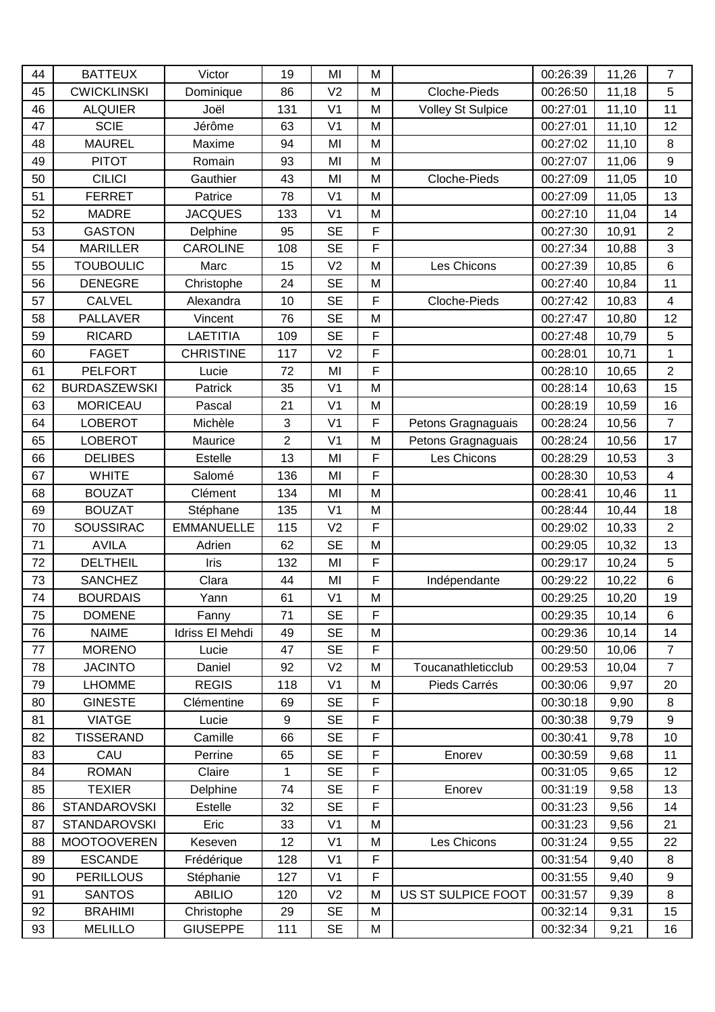| 44 | <b>BATTEUX</b>      | Victor            | 19             | MI             | M |                          | 00:26:39 | 11,26 | $\overline{7}$          |
|----|---------------------|-------------------|----------------|----------------|---|--------------------------|----------|-------|-------------------------|
| 45 | <b>CWICKLINSKI</b>  | Dominique         | 86             | V <sub>2</sub> | M | Cloche-Pieds             | 00:26:50 | 11,18 | 5                       |
| 46 | <b>ALQUIER</b>      | Joël              | 131            | V <sub>1</sub> | M | <b>Volley St Sulpice</b> | 00:27:01 | 11,10 | 11                      |
| 47 | <b>SCIE</b>         | Jérôme            | 63             | V <sub>1</sub> | M |                          | 00:27:01 | 11,10 | 12                      |
| 48 | <b>MAUREL</b>       | Maxime            | 94             | MI             | M |                          | 00:27:02 | 11,10 | 8                       |
| 49 | <b>PITOT</b>        | Romain            | 93             | MI             | M |                          | 00:27:07 | 11,06 | $\boldsymbol{9}$        |
| 50 | <b>CILICI</b>       | Gauthier          | 43             | MI             | M | Cloche-Pieds             | 00:27:09 | 11,05 | 10                      |
| 51 | <b>FERRET</b>       | Patrice           | 78             | V <sub>1</sub> | M |                          | 00:27:09 | 11,05 | 13                      |
| 52 | <b>MADRE</b>        | <b>JACQUES</b>    | 133            | V <sub>1</sub> | M |                          | 00:27:10 | 11,04 | 14                      |
| 53 | <b>GASTON</b>       | Delphine          | 95             | <b>SE</b>      | F |                          | 00:27:30 | 10,91 | $\overline{2}$          |
| 54 | <b>MARILLER</b>     | <b>CAROLINE</b>   | 108            | <b>SE</b>      | F |                          | 00:27:34 | 10,88 | 3                       |
| 55 | <b>TOUBOULIC</b>    | Marc              | 15             | V <sub>2</sub> | M | Les Chicons              | 00:27:39 | 10,85 | 6                       |
| 56 | <b>DENEGRE</b>      | Christophe        | 24             | <b>SE</b>      | M |                          | 00:27:40 | 10,84 | 11                      |
| 57 | <b>CALVEL</b>       | Alexandra         | 10             | <b>SE</b>      | F | Cloche-Pieds             | 00:27:42 | 10,83 | $\overline{\mathbf{4}}$ |
| 58 | <b>PALLAVER</b>     | Vincent           | 76             | <b>SE</b>      | M |                          | 00:27:47 | 10,80 | 12                      |
| 59 | <b>RICARD</b>       | <b>LAETITIA</b>   | 109            | <b>SE</b>      | F |                          | 00:27:48 | 10,79 | 5                       |
| 60 | <b>FAGET</b>        | <b>CHRISTINE</b>  | 117            | V <sub>2</sub> | F |                          | 00:28:01 | 10,71 | $\mathbf{1}$            |
| 61 | <b>PELFORT</b>      | Lucie             | 72             | MI             | F |                          | 00:28:10 | 10,65 | $\overline{2}$          |
| 62 | <b>BURDASZEWSKI</b> | Patrick           | 35             | V <sub>1</sub> | M |                          | 00:28:14 | 10,63 | 15                      |
| 63 | <b>MORICEAU</b>     | Pascal            | 21             | V <sub>1</sub> | M |                          | 00:28:19 | 10,59 | 16                      |
| 64 | <b>LOBEROT</b>      | Michèle           | 3              | V <sub>1</sub> | F | Petons Gragnaguais       | 00:28:24 | 10,56 | $\overline{7}$          |
| 65 | <b>LOBEROT</b>      | Maurice           | $\overline{2}$ | V <sub>1</sub> | M | Petons Gragnaguais       | 00:28:24 | 10,56 | 17                      |
| 66 | <b>DELIBES</b>      | Estelle           | 13             | MI             | F | Les Chicons              | 00:28:29 | 10,53 | 3                       |
| 67 | <b>WHITE</b>        | Salomé            | 136            | MI             | F |                          | 00:28:30 | 10,53 | 4                       |
| 68 | <b>BOUZAT</b>       | Clément           | 134            | MI             | M |                          | 00:28:41 | 10,46 | 11                      |
| 69 | <b>BOUZAT</b>       | Stéphane          | 135            | V <sub>1</sub> | M |                          | 00:28:44 | 10,44 | 18                      |
| 70 | <b>SOUSSIRAC</b>    | <b>EMMANUELLE</b> | 115            | V <sub>2</sub> | F |                          | 00:29:02 | 10,33 | $\overline{2}$          |
| 71 | <b>AVILA</b>        | Adrien            | 62             | <b>SE</b>      | M |                          | 00:29:05 | 10,32 | 13                      |
| 72 | <b>DELTHEIL</b>     | Iris              | 132            | MI             | F |                          | 00:29:17 | 10,24 | 5                       |
| 73 | <b>SANCHEZ</b>      | Clara             | 44             | MI             | F | Indépendante             | 00:29:22 | 10,22 | 6                       |
| 74 | <b>BOURDAIS</b>     | Yann              | 61             | V <sub>1</sub> | M |                          | 00:29:25 | 10,20 | 19                      |
| 75 | <b>DOMENE</b>       | Fanny             | 71             | <b>SE</b>      | F |                          | 00:29:35 | 10,14 | 6                       |
| 76 | <b>NAIME</b>        | Idriss El Mehdi   | 49             | <b>SE</b>      | M |                          | 00:29:36 | 10,14 | 14                      |
| 77 | <b>MORENO</b>       | Lucie             | 47             | <b>SE</b>      | F |                          | 00:29:50 | 10,06 | $\overline{7}$          |
| 78 | <b>JACINTO</b>      | Daniel            | 92             | V <sub>2</sub> | M | Toucanathleticclub       | 00:29:53 | 10,04 | $\overline{7}$          |
| 79 | <b>LHOMME</b>       | <b>REGIS</b>      | 118            | V <sub>1</sub> | M | Pieds Carrés             | 00:30:06 | 9,97  | 20                      |
| 80 | <b>GINESTE</b>      | Clémentine        | 69             | <b>SE</b>      | F |                          | 00:30:18 | 9,90  | 8                       |
| 81 | <b>VIATGE</b>       | Lucie             | 9              | <b>SE</b>      | F |                          | 00:30:38 | 9,79  | 9                       |
| 82 | <b>TISSERAND</b>    | Camille           | 66             | <b>SE</b>      | F |                          | 00:30:41 | 9,78  | 10                      |
| 83 | CAU                 | Perrine           | 65             | <b>SE</b>      | F | Enorev                   | 00:30:59 | 9,68  | 11                      |
| 84 | <b>ROMAN</b>        | Claire            | 1              | <b>SE</b>      | F |                          | 00:31:05 | 9,65  | 12                      |
| 85 | <b>TEXIER</b>       | Delphine          | 74             | <b>SE</b>      | F | Enorev                   | 00:31:19 | 9,58  | 13                      |
| 86 | <b>STANDAROVSKI</b> | Estelle           | 32             | <b>SE</b>      | F |                          | 00:31:23 | 9,56  | 14                      |
| 87 | <b>STANDAROVSKI</b> | Eric              | 33             | V <sub>1</sub> | M |                          | 00:31:23 | 9,56  | 21                      |
| 88 | <b>MOOTOOVEREN</b>  | Keseven           | 12             | V <sub>1</sub> | M | Les Chicons              | 00:31:24 | 9,55  | 22                      |
| 89 | <b>ESCANDE</b>      | Frédérique        | 128            | V <sub>1</sub> | F |                          | 00:31:54 | 9,40  | 8                       |
| 90 | <b>PERILLOUS</b>    | Stéphanie         | 127            | V <sub>1</sub> | F |                          | 00:31:55 | 9,40  | 9                       |
| 91 | <b>SANTOS</b>       | <b>ABILIO</b>     | 120            | V <sub>2</sub> | M | US ST SULPICE FOOT       | 00:31:57 | 9,39  | 8                       |
| 92 | <b>BRAHIMI</b>      | Christophe        | 29             | <b>SE</b>      | M |                          | 00:32:14 | 9,31  | 15                      |
| 93 | <b>MELILLO</b>      | <b>GIUSEPPE</b>   | 111            | <b>SE</b>      | M |                          | 00:32:34 | 9,21  | 16                      |